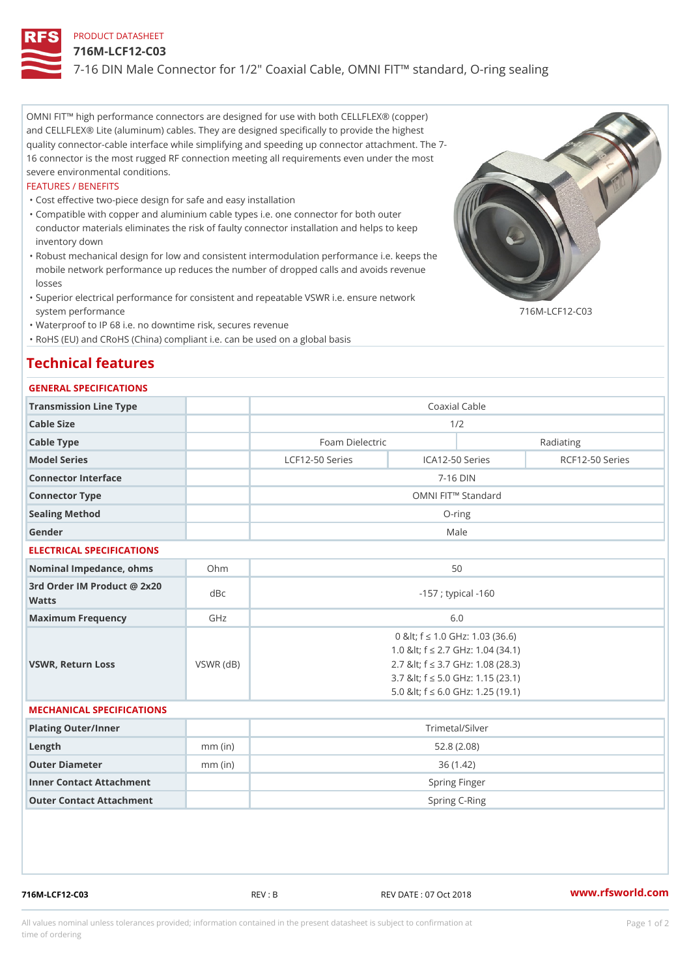### PRODUCT DATASHEET

#### 716M-LCF12-C03

7-16 DIN Male Connector for 1/2" Coaxial Cable, OMNI FIT!" standard,

OMNI FIT!" high performance connectors are designed for use with both CELLFLEX® (copper) and CELLFLEX® Lite (aluminum) cables. They are designed specifically to provide the highest quality connector-cable interface while simplifying and speeding up connector attachment. The 7-16 connector is the most rugged RF connection meeting all requirements even under the most severe environmental conditions.

#### FEATURES / BENEFITS

"Cost effective two-piece design for safe and easy installation

- Compatible with copper and aluminium cable types i.e. one connector for both outer " conductor materials eliminates the risk of faulty connector installation and helps to keep inventory down
- Robust mechanical design for low and consistent intermodulation performance i.e. keeps the " mobile network performance up reduces the number of dropped calls and avoids revenue losses
- Superior electrical performance for consistent and repeatable VSWR i.e. ensure network " system performance 716M-LCF12-C03

"Waterproof to IP 68 i.e. no downtime risk, secures revenue

"RoHS (EU) and CRoHS (China) compliant i.e. can be used on a global basis

# Technical features

## GENERAL SPECIFICATIONS

| Transmission Line Type                      |     | Coaxial Cable                |  |                                   |                 |  |
|---------------------------------------------|-----|------------------------------|--|-----------------------------------|-----------------|--|
| Cable Size                                  |     | 1/2                          |  |                                   |                 |  |
| Cable Type                                  |     | Foam Dielectric<br>Radiating |  |                                   |                 |  |
| Model Series                                |     | LCF12-50 Series              |  | ICA12-50 Series                   | RCF12-50 Series |  |
| Connector Interface                         |     | $7 - 16$ DIN                 |  |                                   |                 |  |
| Connector Type                              |     | OMNI FIT!" Standard          |  |                                   |                 |  |
| Sealing Method                              |     | $O$ -ring                    |  |                                   |                 |  |
| Gender                                      |     |                              |  | Male                              |                 |  |
| ELECTRICAL SPECIFICATIONS                   |     |                              |  |                                   |                 |  |
| Nominal Impedance, ohins Ohm                |     |                              |  | 50                                |                 |  |
| 3rd Order IM Product @ 2x20<br>dBc<br>Watts |     | $-157$ ; typical $-160$      |  |                                   |                 |  |
| Maximum Frequency                           | GHz |                              |  | 6.0                               |                 |  |
|                                             |     |                              |  | 0 & It; f "d 1.0 GHz: 1.03 (36.6) |                 |  |

|                   |           | $0$ and $1.0$ controlled to $0.0$     |
|-------------------|-----------|---------------------------------------|
|                   |           | 1.0 & It: f "d 2.7 GHz: 1.04 (34.1)   |
| VSWR, Return Loss | VSWR (dB) | 2.7 & It; f "d 3.7 G H z: 1.08 (28.3) |
|                   |           | 3.7 & It; f "d 5.0 G H z: 1.15 (23.1) |
|                   |           | 5.0 & It: f "d 6.0 GHz: 1.25 (19.1)   |

#### MECHANICAL SPECIFICATIONS

| Plating Outer/Inner      |           | Trimetal/Silver |
|--------------------------|-----------|-----------------|
| Length                   | $mm$ (in) | 52.8 (2.08)     |
| Outer Diameter           | $mm$ (in) | 36 (1.42)       |
| Inner Contact Attachment |           | Spring Finger   |
| Outer Contact Attachment |           | Spring C-Ring   |

716M-LCF12-C03 REV : B REV DATE : 07 Oct 2018 [www.](https://www.rfsworld.com)rfsworld.com